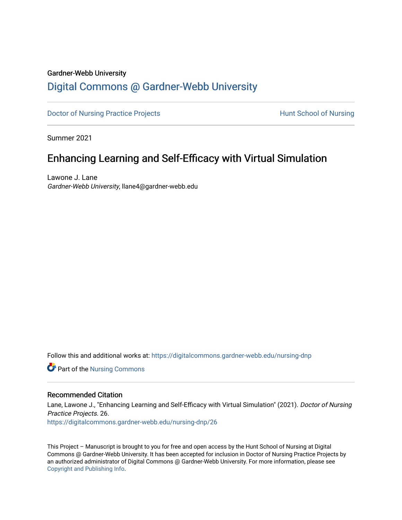#### Gardner-Webb University

# [Digital Commons @ Gardner-Webb University](https://digitalcommons.gardner-webb.edu/)

[Doctor of Nursing Practice Projects](https://digitalcommons.gardner-webb.edu/nursing-dnp) **Exercise Exercise Serverse Hunt School of Nursing** 

Summer 2021

# Enhancing Learning and Self-Efficacy with Virtual Simulation

Lawone J. Lane Gardner-Webb University, llane4@gardner-webb.edu

Follow this and additional works at: [https://digitalcommons.gardner-webb.edu/nursing-dnp](https://digitalcommons.gardner-webb.edu/nursing-dnp?utm_source=digitalcommons.gardner-webb.edu%2Fnursing-dnp%2F26&utm_medium=PDF&utm_campaign=PDFCoverPages) 

**Part of the Nursing Commons** 

# Recommended Citation

Lane, Lawone J., "Enhancing Learning and Self-Efficacy with Virtual Simulation" (2021). Doctor of Nursing Practice Projects. 26. [https://digitalcommons.gardner-webb.edu/nursing-dnp/26](https://digitalcommons.gardner-webb.edu/nursing-dnp/26?utm_source=digitalcommons.gardner-webb.edu%2Fnursing-dnp%2F26&utm_medium=PDF&utm_campaign=PDFCoverPages)

This Project – Manuscript is brought to you for free and open access by the Hunt School of Nursing at Digital Commons @ Gardner-Webb University. It has been accepted for inclusion in Doctor of Nursing Practice Projects by an authorized administrator of Digital Commons @ Gardner-Webb University. For more information, please see [Copyright and Publishing Info.](https://digitalcommons.gardner-webb.edu/copyright_publishing.html)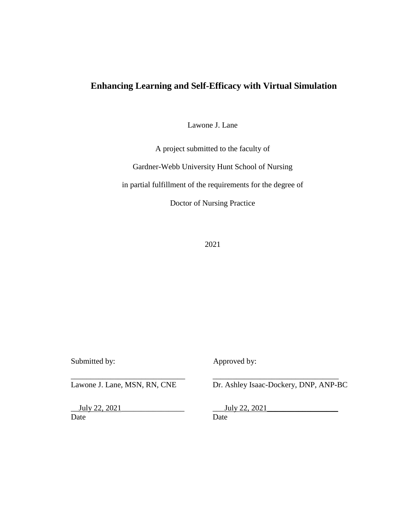Lawone J. Lane

A project submitted to the faculty of

Gardner-Webb University Hunt School of Nursing

in partial fulfillment of the requirements for the degree of

Doctor of Nursing Practice

2021

Submitted by: Approved by:

\_\_\_\_\_\_\_\_\_\_\_\_\_\_\_\_\_\_\_\_\_\_\_\_\_\_\_\_\_ \_\_\_\_\_\_\_\_\_\_\_\_\_\_\_\_\_\_\_\_\_\_\_\_\_\_\_\_\_\_\_\_

July 22, 2021 July 22, 2021 Date Date Date

Lawone J. Lane, MSN, RN, CNE Dr. Ashley Isaac-Dockery, DNP, ANP-BC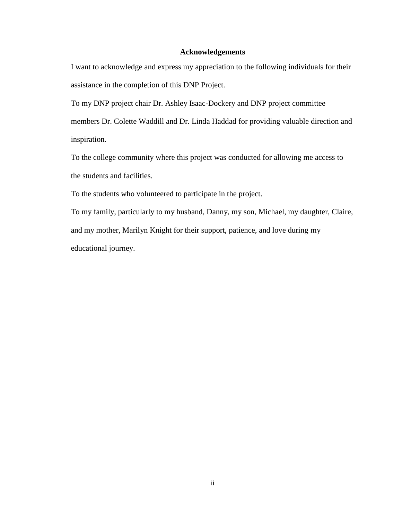# **Acknowledgements**

I want to acknowledge and express my appreciation to the following individuals for their assistance in the completion of this DNP Project.

To my DNP project chair Dr. Ashley Isaac-Dockery and DNP project committee

members Dr. Colette Waddill and Dr. Linda Haddad for providing valuable direction and inspiration.

To the college community where this project was conducted for allowing me access to the students and facilities.

To the students who volunteered to participate in the project.

To my family, particularly to my husband, Danny, my son, Michael, my daughter, Claire, and my mother, Marilyn Knight for their support, patience, and love during my educational journey.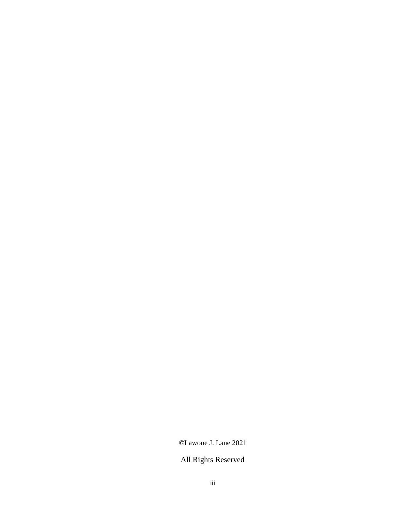©Lawone J. Lane 2021

# All Rights Reserved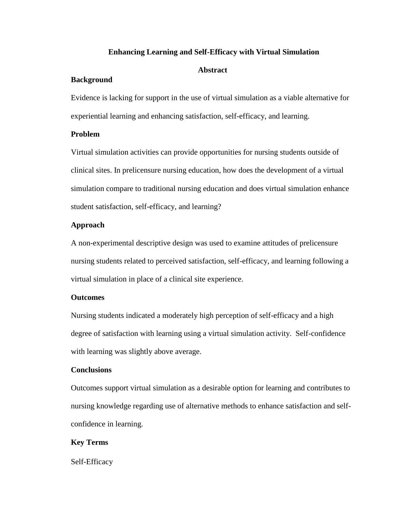## **Abstract**

# **Background**

Evidence is lacking for support in the use of virtual simulation as a viable alternative for experiential learning and enhancing satisfaction, self-efficacy, and learning.

# **Problem**

Virtual simulation activities can provide opportunities for nursing students outside of clinical sites. In prelicensure nursing education, how does the development of a virtual simulation compare to traditional nursing education and does virtual simulation enhance student satisfaction, self-efficacy, and learning?

# **Approach**

A non-experimental descriptive design was used to examine attitudes of prelicensure nursing students related to perceived satisfaction, self-efficacy, and learning following a virtual simulation in place of a clinical site experience.

# **Outcomes**

Nursing students indicated a moderately high perception of self-efficacy and a high degree of satisfaction with learning using a virtual simulation activity. Self-confidence with learning was slightly above average.

#### **Conclusions**

Outcomes support virtual simulation as a desirable option for learning and contributes to nursing knowledge regarding use of alternative methods to enhance satisfaction and selfconfidence in learning.

# **Key Terms**

Self-Efficacy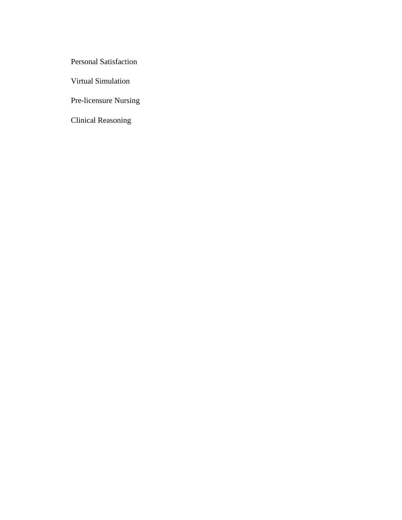Personal Satisfaction

Virtual Simulation

Pre-licensure Nursing

Clinical Reasoning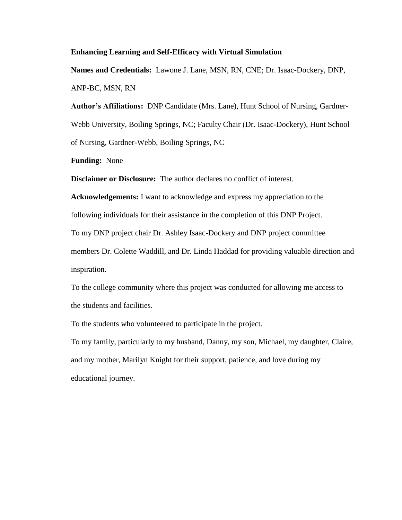**Names and Credentials:** Lawone J. Lane, MSN, RN, CNE; Dr. Isaac-Dockery, DNP, ANP-BC, MSN, RN

**Author's Affiliations:** DNP Candidate (Mrs. Lane), Hunt School of Nursing, Gardner-Webb University, Boiling Springs, NC; Faculty Chair (Dr. Isaac-Dockery), Hunt School of Nursing, Gardner-Webb, Boiling Springs, NC

**Funding:** None

**Disclaimer or Disclosure:** The author declares no conflict of interest.

**Acknowledgements:** I want to acknowledge and express my appreciation to the following individuals for their assistance in the completion of this DNP Project. To my DNP project chair Dr. Ashley Isaac-Dockery and DNP project committee members Dr. Colette Waddill, and Dr. Linda Haddad for providing valuable direction and inspiration.

To the college community where this project was conducted for allowing me access to the students and facilities.

To the students who volunteered to participate in the project.

To my family, particularly to my husband, Danny, my son, Michael, my daughter, Claire, and my mother, Marilyn Knight for their support, patience, and love during my educational journey.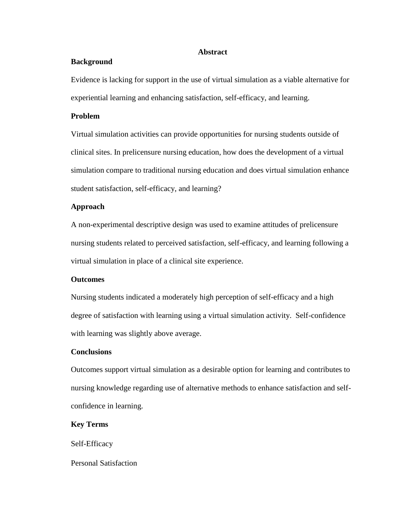#### **Abstract**

## **Background**

Evidence is lacking for support in the use of virtual simulation as a viable alternative for experiential learning and enhancing satisfaction, self-efficacy, and learning.

# **Problem**

Virtual simulation activities can provide opportunities for nursing students outside of clinical sites. In prelicensure nursing education, how does the development of a virtual simulation compare to traditional nursing education and does virtual simulation enhance student satisfaction, self-efficacy, and learning?

# **Approach**

A non-experimental descriptive design was used to examine attitudes of prelicensure nursing students related to perceived satisfaction, self-efficacy, and learning following a virtual simulation in place of a clinical site experience.

#### **Outcomes**

Nursing students indicated a moderately high perception of self-efficacy and a high degree of satisfaction with learning using a virtual simulation activity. Self-confidence with learning was slightly above average.

# **Conclusions**

Outcomes support virtual simulation as a desirable option for learning and contributes to nursing knowledge regarding use of alternative methods to enhance satisfaction and selfconfidence in learning.

# **Key Terms**

Self-Efficacy

#### Personal Satisfaction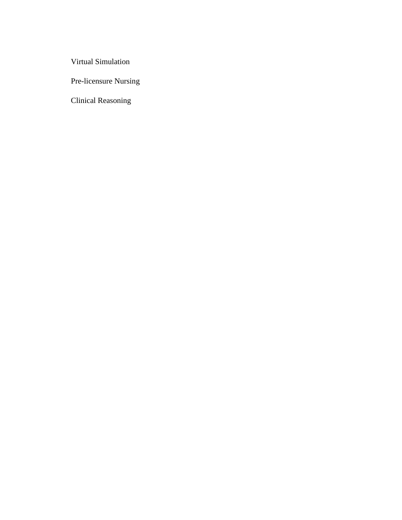Virtual Simulation

Pre-licensure Nursing

Clinical Reasoning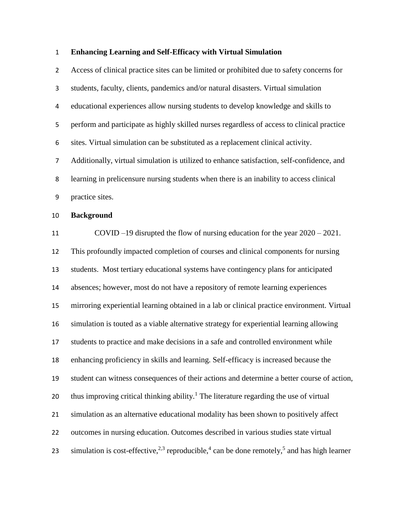Access of clinical practice sites can be limited or prohibited due to safety concerns for students, faculty, clients, pandemics and/or natural disasters. Virtual simulation educational experiences allow nursing students to develop knowledge and skills to perform and participate as highly skilled nurses regardless of access to clinical practice sites. Virtual simulation can be substituted as a replacement clinical activity. Additionally, virtual simulation is utilized to enhance satisfaction, self-confidence, and learning in prelicensure nursing students when there is an inability to access clinical practice sites.

# **Background**

 COVID –19 disrupted the flow of nursing education for the year 2020 – 2021. This profoundly impacted completion of courses and clinical components for nursing students. Most tertiary educational systems have contingency plans for anticipated absences; however, most do not have a repository of remote learning experiences mirroring experiential learning obtained in a lab or clinical practice environment. Virtual simulation is touted as a viable alternative strategy for experiential learning allowing students to practice and make decisions in a safe and controlled environment while enhancing proficiency in skills and learning. Self-efficacy is increased because the student can witness consequences of their actions and determine a better course of action, 20 thus improving critical thinking ability.<sup>1</sup> The literature regarding the use of virtual simulation as an alternative educational modality has been shown to positively affect outcomes in nursing education. Outcomes described in various studies state virtual 23 simulation is cost-effective,  $2^{3}$  reproducible,  $4$  can be done remotely,  $5$  and has high learner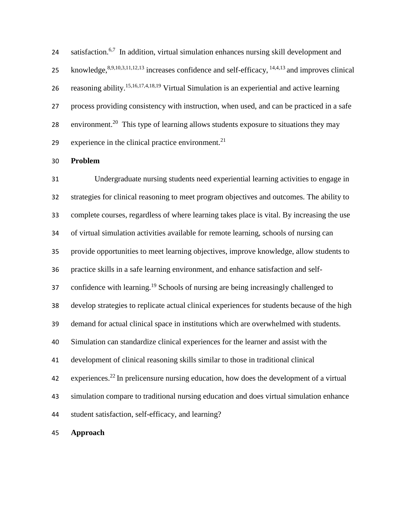satisfaction.<sup>6,7</sup> In addition, virtual simulation enhances nursing skill development and 25 knowledge, $8,9,10,3,11,12,13$  increases confidence and self-efficacy,  $14,4,13$  and improves clinical 26 reasoning ability.<sup>15,16,17,4,18,19</sup> Virtual Simulation is an experiential and active learning process providing consistency with instruction, when used, and can be practiced in a safe 28 environment.<sup>20</sup> This type of learning allows students exposure to situations they may experience in the clinical practice environment.

**Problem**

 Undergraduate nursing students need experiential learning activities to engage in strategies for clinical reasoning to meet program objectives and outcomes. The ability to complete courses, regardless of where learning takes place is vital. By increasing the use of virtual simulation activities available for remote learning, schools of nursing can provide opportunities to meet learning objectives, improve knowledge, allow students to practice skills in a safe learning environment, and enhance satisfaction and self-37 confidence with learning.<sup>19</sup> Schools of nursing are being increasingly challenged to develop strategies to replicate actual clinical experiences for students because of the high demand for actual clinical space in institutions which are overwhelmed with students. Simulation can standardize clinical experiences for the learner and assist with the development of clinical reasoning skills similar to those in traditional clinical experiences.<sup>22</sup> In prelicensure nursing education, how does the development of a virtual simulation compare to traditional nursing education and does virtual simulation enhance student satisfaction, self-efficacy, and learning? **Approach**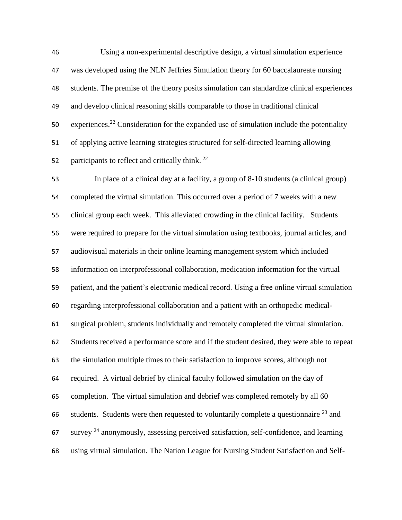Using a non-experimental descriptive design, a virtual simulation experience was developed using the NLN Jeffries Simulation theory for 60 baccalaureate nursing students. The premise of the theory posits simulation can standardize clinical experiences and develop clinical reasoning skills comparable to those in traditional clinical 50 experiences.<sup>22</sup> Consideration for the expanded use of simulation include the potentiality of applying active learning strategies structured for self-directed learning allowing 52 participants to reflect and critically think.  $^{22}$ 

 In place of a clinical day at a facility, a group of 8-10 students (a clinical group) completed the virtual simulation. This occurred over a period of 7 weeks with a new clinical group each week. This alleviated crowding in the clinical facility. Students were required to prepare for the virtual simulation using textbooks, journal articles, and audiovisual materials in their online learning management system which included information on interprofessional collaboration, medication information for the virtual patient, and the patient's electronic medical record. Using a free online virtual simulation regarding interprofessional collaboration and a patient with an orthopedic medical- surgical problem, students individually and remotely completed the virtual simulation. Students received a performance score and if the student desired, they were able to repeat the simulation multiple times to their satisfaction to improve scores, although not required. A virtual debrief by clinical faculty followed simulation on the day of completion. The virtual simulation and debrief was completed remotely by all 60 66 students. Students were then requested to voluntarily complete a questionnaire  $^{23}$  and survey <sup>24</sup> anonymously, assessing perceived satisfaction, self-confidence, and learning using virtual simulation. The Nation League for Nursing Student Satisfaction and Self-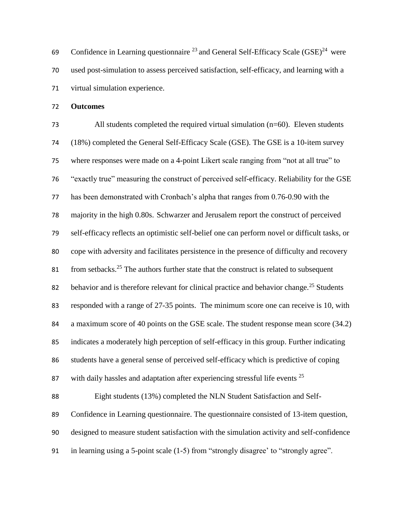69 Confidence in Learning questionnaire  $^{23}$  and General Self-Efficacy Scale (GSE)<sup>24</sup> were used post-simulation to assess perceived satisfaction, self-efficacy, and learning with a virtual simulation experience.

**Outcomes**

 All students completed the required virtual simulation (n=60). Eleven students (18%) completed the General Self-Efficacy Scale (GSE). The GSE is a 10-item survey where responses were made on a 4-point Likert scale ranging from "not at all true" to "exactly true" measuring the construct of perceived self-efficacy. Reliability for the GSE has been demonstrated with Cronbach's alpha that ranges from 0.76-0.90 with the 78 majority in the high 0.80s. Schwarzer and Jerusalem report the construct of perceived self-efficacy reflects an optimistic self-belief one can perform novel or difficult tasks, or cope with adversity and facilitates persistence in the presence of difficulty and recovery 81 from setbacks.<sup>25</sup> The authors further state that the construct is related to subsequent 82 behavior and is therefore relevant for clinical practice and behavior change.<sup>25</sup> Students responded with a range of 27-35 points. The minimum score one can receive is 10, with a maximum score of 40 points on the GSE scale. The student response mean score (34.2) indicates a moderately high perception of self-efficacy in this group. Further indicating students have a general sense of perceived self-efficacy which is predictive of coping 87 with daily hassles and adaptation after experiencing stressful life events Eight students (13%) completed the NLN Student Satisfaction and Self- Confidence in Learning questionnaire. The questionnaire consisted of 13-item question, designed to measure student satisfaction with the simulation activity and self-confidence in learning using a 5-point scale (1-5) from "strongly disagree' to "strongly agree".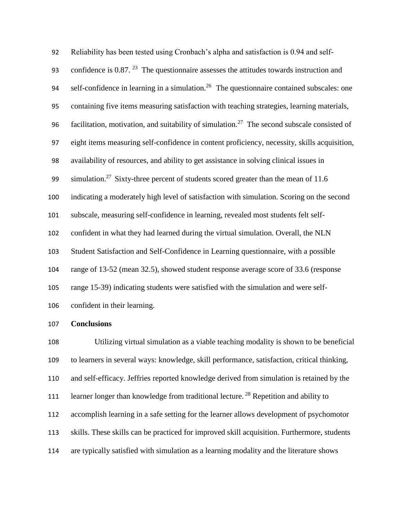Reliability has been tested using Cronbach's alpha and satisfaction is 0.94 and self-93 confidence is  $0.87$ . <sup>23</sup> The questionnaire assesses the attitudes towards instruction and self-confidence in learning in a simulation.<sup>26</sup> The questionnaire contained subscales: one containing five items measuring satisfaction with teaching strategies, learning materials, 96 facilitation, motivation, and suitability of simulation.<sup>27</sup> The second subscale consisted of eight items measuring self-confidence in content proficiency, necessity, skills acquisition, availability of resources, and ability to get assistance in solving clinical issues in 99 simulation.<sup>27</sup> Sixty-three percent of students scored greater than the mean of 11.6 indicating a moderately high level of satisfaction with simulation. Scoring on the second subscale, measuring self-confidence in learning, revealed most students felt self- confident in what they had learned during the virtual simulation. Overall, the NLN Student Satisfaction and Self-Confidence in Learning questionnaire, with a possible range of 13-52 (mean 32.5), showed student response average score of 33.6 (response range 15-39) indicating students were satisfied with the simulation and were self-confident in their learning.

### **Conclusions**

 Utilizing virtual simulation as a viable teaching modality is shown to be beneficial to learners in several ways: knowledge, skill performance, satisfaction, critical thinking, and self-efficacy. Jeffries reported knowledge derived from simulation is retained by the 111 learner longer than knowledge from traditional lecture.<sup>28</sup> Repetition and ability to accomplish learning in a safe setting for the learner allows development of psychomotor skills. These skills can be practiced for improved skill acquisition. Furthermore, students are typically satisfied with simulation as a learning modality and the literature shows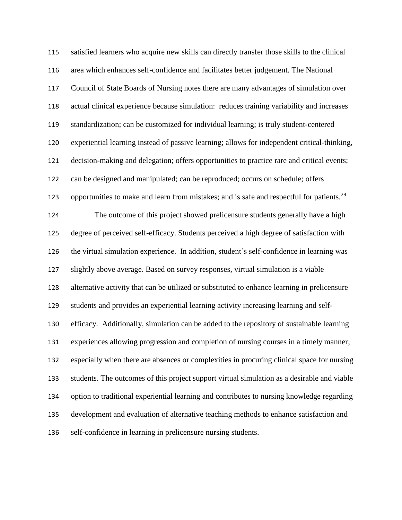satisfied learners who acquire new skills can directly transfer those skills to the clinical area which enhances self-confidence and facilitates better judgement. The National Council of State Boards of Nursing notes there are many advantages of simulation over actual clinical experience because simulation: reduces training variability and increases standardization; can be customized for individual learning; is truly student-centered experiential learning instead of passive learning; allows for independent critical-thinking, decision-making and delegation; offers opportunities to practice rare and critical events; can be designed and manipulated; can be reproduced; occurs on schedule; offers 123 opportunities to make and learn from mistakes; and is safe and respectful for patients.<sup>29</sup> The outcome of this project showed prelicensure students generally have a high degree of perceived self-efficacy. Students perceived a high degree of satisfaction with the virtual simulation experience. In addition, student's self-confidence in learning was slightly above average. Based on survey responses, virtual simulation is a viable alternative activity that can be utilized or substituted to enhance learning in prelicensure students and provides an experiential learning activity increasing learning and self- efficacy. Additionally, simulation can be added to the repository of sustainable learning experiences allowing progression and completion of nursing courses in a timely manner; especially when there are absences or complexities in procuring clinical space for nursing students. The outcomes of this project support virtual simulation as a desirable and viable option to traditional experiential learning and contributes to nursing knowledge regarding development and evaluation of alternative teaching methods to enhance satisfaction and self-confidence in learning in prelicensure nursing students.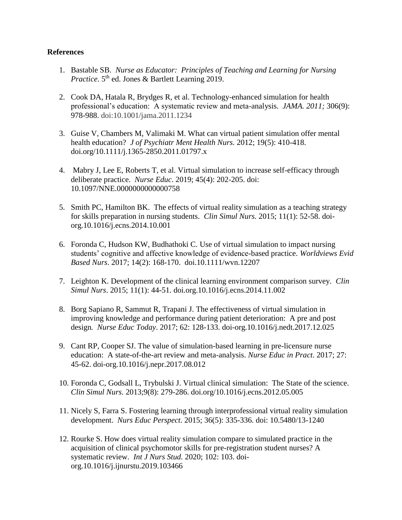# **References**

- 1. Bastable SB. *Nurse as Educator: Principles of Teaching and Learning for Nursing Practice*. 5<sup>th</sup> ed. Jones & Bartlett Learning 2019.
- 2. Cook DA, Hatala R, Brydges R, et al. Technology-enhanced simulation for health professional's education: A systematic review and meta-analysis. *JAMA. 2011;* 306(9): 978-988. doi:10.1001/jama.2011.1234
- 3. Guise V, Chambers M, Valimaki M. What can virtual patient simulation offer mental health education? *J of Psychiatr Ment Health Nurs.* 2012; 19(5): 410-418. doi.org/10.1111/j.1365-2850.2011.01797.x
- 4. Mabry J, Lee E, Roberts T, et al. Virtual simulation to increase self-efficacy through deliberate practice. *Nurse Educ*. 2019; 45(4): 202-205. doi: 10.1097/NNE.0000000000000758
- 5. Smith PC, Hamilton BK. The effects of virtual reality simulation as a teaching strategy for skills preparation in nursing students. *Clin Simul Nurs.* 2015; 11(1): 52-58. doiorg.10.1016/j.ecns.2014.10.001
- 6. Foronda C, Hudson KW, Budhathoki C. Use of virtual simulation to impact nursing students' cognitive and affective knowledge of evidence-based practice. *Worldviews Evid Based Nurs*. 2017; 14(2): 168-170. doi.10.1111/wvn.12207
- 7. Leighton K. Development of the clinical learning environment comparison survey. *Clin Simul Nurs*. 2015; 11(1): 44-51. doi.org.10.1016/j.ecns.2014.11.002
- 8. Borg Sapiano R, Sammut R, Trapani J. The effectiveness of virtual simulation in improving knowledge and performance during patient deterioration: A pre and post design*. Nurse Educ Today*. 2017; 62: 128-133. doi-org.10.1016/j.nedt.2017.12.025
- 9. Cant RP, Cooper SJ. The value of simulation-based learning in pre-licensure nurse education: A state-of-the-art review and meta-analysis. *Nurse Educ in Pract*. 2017; 27: 45-62. doi-org.10.1016/j.nepr.2017.08.012
- 10. Foronda C, Godsall L, Trybulski J. Virtual clinical simulation: The State of the science. *Clin Simul Nurs.* 2013;9(8): 279-286. doi.org/10.1016/j.ecns.2012.05.005
- 11. Nicely S, Farra S. Fostering learning through interprofessional virtual reality simulation development. *Nurs Educ Perspect*. 2015; 36(5): 335-336. doi: 10.5480/13-1240
- 12. Rourke S. How does virtual reality simulation compare to simulated practice in the acquisition of clinical psychomotor skills for pre-registration student nurses? A systematic review. *Int J Nurs Stud.* 2020; 102: 103. doiorg.10.1016/j.ijnurstu.2019.103466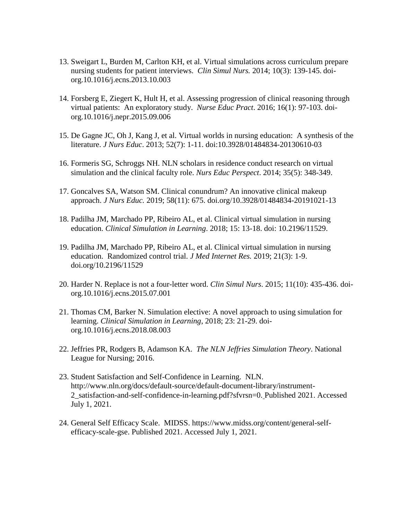- 13. Sweigart L, Burden M, Carlton KH, et al. Virtual simulations across curriculum prepare nursing students for patient interviews. *Clin Simul Nurs.* 2014; 10(3): 139-145. doiorg.10.1016/j.ecns.2013.10.003
- 14. Forsberg E, Ziegert K, Hult H, et al. Assessing progression of clinical reasoning through virtual patients: An exploratory study. *Nurse Educ Pract*. 2016; 16(1): 97-103. doiorg.10.1016/j.nepr.2015.09.006
- 15. De Gagne JC, Oh J, Kang J, et al. Virtual worlds in nursing education: A synthesis of the literature. *J Nurs Educ*. 2013; 52(7): 1-11. doi:10.3928/01484834-20130610-03
- 16. Formeris SG, Schroggs NH. NLN scholars in residence conduct research on virtual simulation and the clinical faculty role. *Nurs Educ Perspect*. 2014; 35(5): 348-349.
- 17. Goncalves SA, Watson SM. Clinical conundrum? An innovative clinical makeup approach. *J Nurs Educ.* 2019; 58(11): 675. doi.org/10.3928/01484834-20191021-13
- 18. Padilha JM, Marchado PP, Ribeiro AL, et al. Clinical virtual simulation in nursing education. *Clinical Simulation in Learning*. 2018; 15: 13-18. doi: 10.2196/11529.
- 19. Padilha JM, Marchado PP, Ribeiro AL, et al. Clinical virtual simulation in nursing education. Randomized control trial. *J Med Internet Res.* 2019; 21(3): 1-9. doi.org/10.2196/11529
- 20. Harder N. Replace is not a four-letter word. *Clin Simul Nurs*. 2015; 11(10): 435-436. doiorg.10.1016/j.ecns.2015.07.001
- 21. Thomas CM, Barker N. Simulation elective: A novel approach to using simulation for learning. *Clinical Simulation in Learning*, 2018; 23: 21-29. doiorg.10.1016/j.ecns.2018.08.003
- 22. Jeffries PR, Rodgers B, Adamson KA. *The NLN Jeffries Simulation Theory*. National League for Nursing; 2016.
- 23. Student Satisfaction and Self-Confidence in Learning. NLN. [http://www.nln.org/docs/default-source/default-document-library/instrument-](http://www.nln.org/docs/default-source/default-document-library/instrument-2_satisfaction-and-self-confidence-in-learning.pdf?sfvrsn=0)[2\\_satisfaction-and-self-confidence-in-learning.pdf?sfvrsn=0.](http://www.nln.org/docs/default-source/default-document-library/instrument-2_satisfaction-and-self-confidence-in-learning.pdf?sfvrsn=0) Published 2021. Accessed July 1, 2021.
- 24. General Self Efficacy Scale. MIDSS. [https://www.midss.org/content/general-self](https://www.midss.org/content/general-self-efficacy-scale-gse)[efficacy-scale-gse.](https://www.midss.org/content/general-self-efficacy-scale-gse) Published 2021. Accessed July 1, 2021.